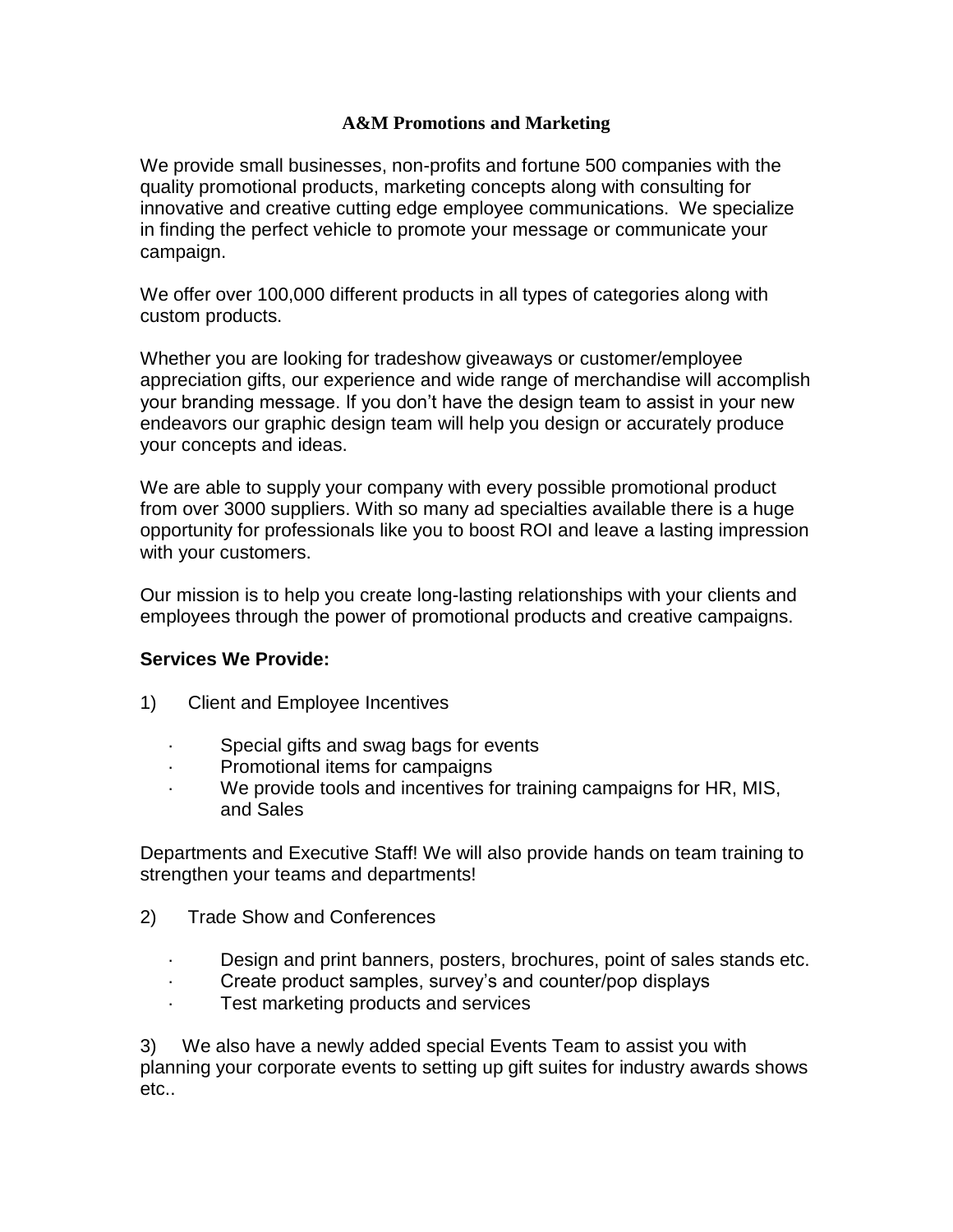## **A&M Promotions and Marketing**

We provide small businesses, non-profits and fortune 500 companies with the quality promotional products, marketing concepts along with consulting for innovative and creative cutting edge employee communications. We specialize in finding the perfect vehicle to promote your message or communicate your campaign.

We offer over 100,000 different products in all types of categories along with custom products.

Whether you are looking for tradeshow giveaways or customer/employee appreciation gifts, our experience and wide range of merchandise will accomplish your branding message. If you don't have the design team to assist in your new endeavors our graphic design team will help you design or accurately produce your concepts and ideas.

We are able to supply your company with every possible promotional product from over 3000 suppliers. With so many ad specialties available there is a huge opportunity for professionals like you to boost ROI and leave a lasting impression with your customers.

Our mission is to help you create long-lasting relationships with your clients and employees through the power of promotional products and creative campaigns.

## **Services We Provide:**

- 1) Client and Employee Incentives
	- Special gifts and swag bags for events
	- · Promotional items for campaigns
	- We provide tools and incentives for training campaigns for HR, MIS, and Sales

Departments and Executive Staff! We will also provide hands on team training to strengthen your teams and departments!

- 2) Trade Show and Conferences
	- · Design and print banners, posters, brochures, point of sales stands etc.
	- Create product samples, survey's and counter/pop displays
	- Test marketing products and services

3) We also have a newly added special Events Team to assist you with planning your corporate events to setting up gift suites for industry awards shows etc..